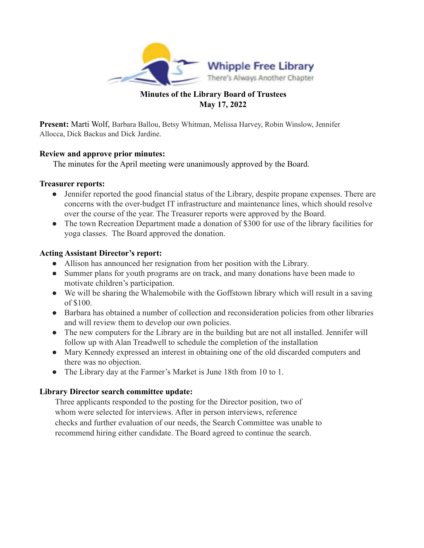

## **Minutes of the Library Board of Trustees May 17, 2022**

**Present:** Marti Wolf, Barbara Ballou, Betsy Whitman, Melissa Harvey, Robin Winslow, Jennifer Allocca, Dick Backus and Dick Jardine.

## **Review and approve prior minutes:**

The minutes for the April meeting were unanimously approved by the Board.

### **Treasurer reports:**

- Jennifer reported the good financial status of the Library, despite propane expenses. There are concerns with the over-budget IT infrastructure and maintenance lines, which should resolve over the course of the year. The Treasurer reports were approved by the Board.
- The town Recreation Department made a donation of \$300 for use of the library facilities for yoga classes. The Board approved the donation.

## **Acting Assistant Director's report:**

- Allison has announced her resignation from her position with the Library.
- Summer plans for youth programs are on track, and many donations have been made to motivate children's participation.
- We will be sharing the Whalemobile with the Goffstown library which will result in a saving of \$100.
- Barbara has obtained a number of collection and reconsideration policies from other libraries and will review them to develop our own policies.
- The new computers for the Library are in the building but are not all installed. Jennifer will follow up with Alan Treadwell to schedule the completion of the installation
- Mary Kennedy expressed an interest in obtaining one of the old discarded computers and there was no objection.
- The Library day at the Farmer's Market is June 18th from 10 to 1.

## **Library Director search committee update:**

Three applicants responded to the posting for the Director position, two of whom were selected for interviews. After in person interviews, reference checks and further evaluation of our needs, the Search Committee was unable to recommend hiring either candidate. The Board agreed to continue the search.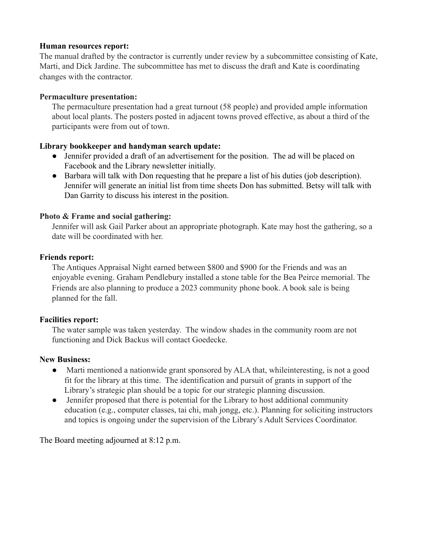### **Human resources report:**

The manual drafted by the contractor is currently under review by a subcommittee consisting of Kate, Marti, and Dick Jardine. The subcommittee has met to discuss the draft and Kate is coordinating changes with the contractor.

### **Permaculture presentation:**

The permaculture presentation had a great turnout (58 people) and provided ample information about local plants. The posters posted in adjacent towns proved effective, as about a third of the participants were from out of town.

## **Library bookkeeper and handyman search update:**

- Jennifer provided a draft of an advertisement for the position. The ad will be placed on Facebook and the Library newsletter initially.
- Barbara will talk with Don requesting that he prepare a list of his duties (job description). Jennifer will generate an initial list from time sheets Don has submitted. Betsy will talk with Dan Garrity to discuss his interest in the position.

### **Photo & Frame and social gathering:**

Jennifer will ask Gail Parker about an appropriate photograph. Kate may host the gathering, so a date will be coordinated with her.

### **Friends report:**

The Antiques Appraisal Night earned between \$800 and \$900 for the Friends and was an enjoyable evening. Graham Pendlebury installed a stone table for the Bea Peirce memorial. The Friends are also planning to produce a 2023 community phone book. A book sale is being planned for the fall.

## **Facilities report:**

The water sample was taken yesterday. The window shades in the community room are not functioning and Dick Backus will contact Goedecke.

#### **New Business:**

- Marti mentioned a nationwide grant sponsored by ALA that, whileinteresting, is not a good fit for the library at this time. The identification and pursuit of grants in support of the Library's strategic plan should be a topic for our strategic planning discussion.
- Jennifer proposed that there is potential for the Library to host additional community education (e.g., computer classes, tai chi, mah jongg, etc.). Planning for soliciting instructors and topics is ongoing under the supervision of the Library's Adult Services Coordinator.

The Board meeting adjourned at 8:12 p.m.